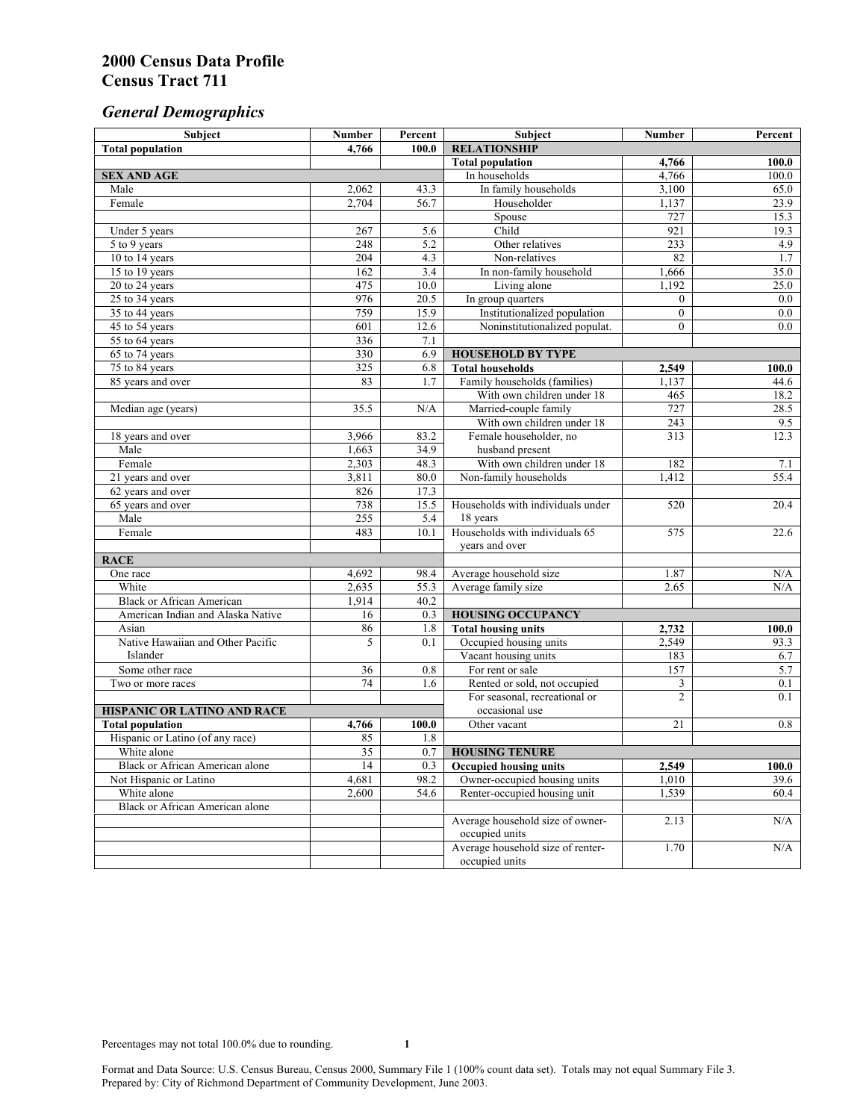# *General Demographics*

| Subject                           | <b>Number</b>   | Percent          | Subject                           | <b>Number</b>  | Percent   |
|-----------------------------------|-----------------|------------------|-----------------------------------|----------------|-----------|
| <b>Total population</b>           | 4,766           | 100.0            | <b>RELATIONSHIP</b>               |                |           |
|                                   |                 |                  | <b>Total population</b>           | 4,766          | 100.0     |
| <b>SEX AND AGE</b>                |                 |                  | In households                     | 4,766          | 100.0     |
| Male                              | 2,062           | 43.3             | In family households              | 3,100          | 65.0      |
| Female                            | 2,704           | 56.7             | Householder                       | 1,137          | 23.9      |
|                                   |                 |                  | Spouse                            | 727            | 15.3      |
| Under 5 years                     | 267             | 5.6              | Child                             | 921            | 19.3      |
| 5 to 9 years                      | 248             | $\overline{5.2}$ | Other relatives                   | 233            | 4.9       |
| 10 to 14 years                    | 204             | 4.3              | Non-relatives                     | 82             | 1.7       |
| 15 to 19 years                    | 162             | 3.4              | In non-family household           | 1,666          | 35.0      |
| 20 to 24 years                    | 475             | 10.0             | Living alone                      | 1,192          | 25.0      |
| $25 \text{ to } 34$ years         | 976             | 20.5             | In group quarters                 | $\overline{0}$ | 0.0       |
| 35 to 44 years                    | 759             | 15.9             | Institutionalized population      | $\overline{0}$ | 0.0       |
| 45 to 54 years                    | 601             | 12.6             | Noninstitutionalized populat.     | $\overline{0}$ | 0.0       |
| 55 to 64 years                    | 336             | 7.1              |                                   |                |           |
| 65 to 74 years                    | 330             | 6.9              | <b>HOUSEHOLD BY TYPE</b>          |                |           |
| 75 to 84 years                    | 325             | 6.8              | <b>Total households</b>           | 2,549          | 100.0     |
| 85 years and over                 | 83              | 1.7              | Family households (families)      | 1,137          | 44.6      |
|                                   |                 |                  | With own children under 18        | 465            | 18.2      |
| Median age (years)                | 35.5            | N/A              | Married-couple family             | 727            | 28.5      |
|                                   |                 |                  | With own children under 18        | 243            | 9.5       |
| 18 years and over                 | 3,966           | 83.2             | Female householder, no            | 313            | 12.3      |
| Male                              | 1,663           | 34.9             | husband present                   |                |           |
| Female                            | 2,303           | 48.3             | With own children under 18        | 182            | 7.1       |
| 21 years and over                 | 3,811           | 80.0             | Non-family households             | 1,412          | 55.4      |
| 62 years and over                 | 826             | 17.3             |                                   |                |           |
| 65 years and over                 | 738             | 15.5             | Households with individuals under | 520            | 20.4      |
| Male                              | 255             | 5.4              | 18 years                          |                |           |
| Female                            | 483             | 10.1             | Households with individuals 65    | 575            | 22.6      |
|                                   |                 |                  | years and over                    |                |           |
| <b>RACE</b>                       |                 |                  |                                   |                |           |
| One race                          | 4,692           | 98.4             | Average household size            | 1.87           | $\rm N/A$ |
| White                             | 2,635           | 55.3             | Average family size               | 2.65           | N/A       |
| <b>Black or African American</b>  | 1,914           | 40.2             |                                   |                |           |
| American Indian and Alaska Native | 16              | 0.3              | <b>HOUSING OCCUPANCY</b>          |                |           |
| Asian                             | 86              | 1.8              | <b>Total housing units</b>        | 2,732          | 100.0     |
| Native Hawaiian and Other Pacific | 5               | 0.1              | Occupied housing units            | 2,549          | 93.3      |
| Islander                          |                 |                  | Vacant housing units              | 183            | 6.7       |
| Some other race                   | 36              | 0.8              | For rent or sale                  | 157            | 5.7       |
| Two or more races                 | $\overline{74}$ | 1.6              | Rented or sold, not occupied      | 3              | 0.1       |
|                                   |                 |                  | For seasonal, recreational or     | $\overline{2}$ | 0.1       |
| HISPANIC OR LATINO AND RACE       |                 |                  | occasional use                    |                |           |
| <b>Total population</b>           | 4,766           | 100.0            | Other vacant                      | 21             | 0.8       |
| Hispanic or Latino (of any race)  | 85              | 1.8              |                                   |                |           |
| White alone                       | $\overline{35}$ | 0.7              | <b>HOUSING TENURE</b>             |                |           |
| Black or African American alone   | 14              | 0.3              | <b>Occupied housing units</b>     | 2,549          | 100.0     |
| Not Hispanic or Latino            | 4,681           | 98.2             | Owner-occupied housing units      | 1,010          | 39.6      |
| White alone                       | 2,600           | 54.6             | Renter-occupied housing unit      | 1,539          | 60.4      |
| Black or African American alone   |                 |                  |                                   |                |           |
|                                   |                 |                  | Average household size of owner-  | 2.13           | N/A       |
|                                   |                 |                  | occupied units                    |                |           |
|                                   |                 |                  | Average household size of renter- | 1.70           | N/A       |
|                                   |                 |                  | occupied units                    |                |           |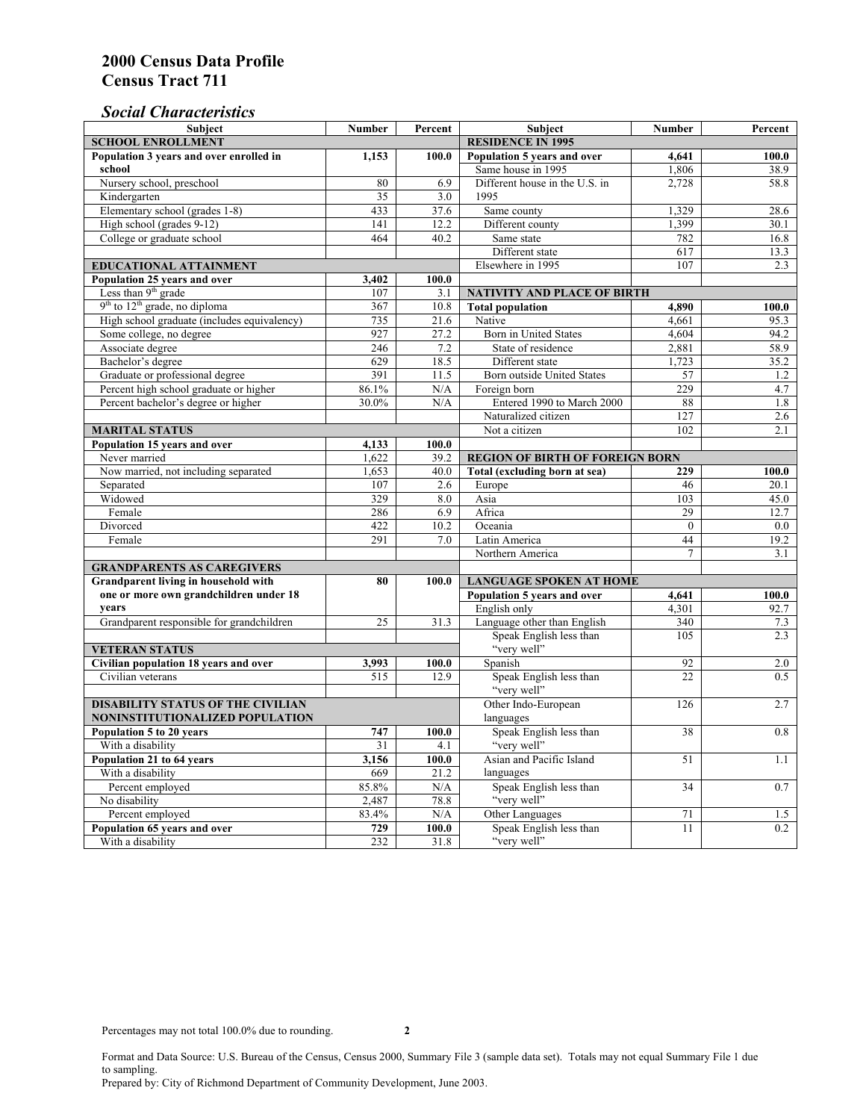# *Social Characteristics*

| <b>SCHOOL ENROLLMENT</b><br><b>RESIDENCE IN 1995</b><br>Population 3 years and over enrolled in<br>Population 5 years and over<br>100.0<br>1,153<br>100.0<br>4,641<br>Same house in 1995<br>school<br>1,806<br>38.9<br>Nursery school, preschool<br>Different house in the U.S. in<br>2.728<br>80<br>6.9<br>58.8<br>1995<br>Kindergarten<br>35<br>3.0<br>Elementary school (grades 1-8)<br>433<br>37.6<br>Same county<br>1,329<br>28.6<br>1,399<br>High school (grades 9-12)<br>141<br>12.2<br>Different county<br>30.1<br>College or graduate school<br>464<br>40.2<br>Same state<br>782<br>16.8<br>Different state<br>617<br>13.3<br>Elsewhere in 1995<br>107<br><b>EDUCATIONAL ATTAINMENT</b><br>2.3<br>Population 25 years and over<br>3,402<br>100.0<br>Less than 9 <sup>th</sup> grade<br>107<br>3.1<br>NATIVITY AND PLACE OF BIRTH<br>$9th$ to $12th$ grade, no diploma<br>367<br><b>Total population</b><br>10.8<br>4,890<br>100.0<br>High school graduate (includes equivalency)<br>735<br>21.6<br>Native<br>4.661<br>95.3<br>Some college, no degree<br>Born in United States<br>927<br>27.2<br>4,604<br>94.2<br>Associate degree<br>246<br>7.2<br>State of residence<br>2,881<br>58.9<br>Bachelor's degree<br>629<br>18.5<br>Different state<br>1,723<br>35.2<br>391<br>Graduate or professional degree<br>11.5<br>Born outside United States<br>57<br>1.2<br>229<br>Percent high school graduate or higher<br>86.1%<br>N/A<br>Foreign born<br>4.7<br>Percent bachelor's degree or higher<br>Entered 1990 to March 2000<br>30.0%<br>N/A<br>88<br>1.8<br>127<br>Naturalized citizen<br>2.6<br>102<br>2.1<br><b>MARITAL STATUS</b><br>Not a citizen<br>Population 15 years and over<br>4,133<br>100.0<br>Never married<br>39.2<br>1,622<br><b>REGION OF BIRTH OF FOREIGN BORN</b><br>Now married, not including separated<br>Total (excluding born at sea)<br>1,653<br>40.0<br>229<br>100.0<br>Separated<br>107<br>2.6<br>Europe<br>46<br>20.1<br>Widowed<br>329<br>8.0<br>Asia<br>103<br>45.0<br>Female<br>286<br>6.9<br>Africa<br>29<br>12.7<br>422<br>Divorced<br>10.2<br>Oceania<br>$\theta$<br>0.0<br>291<br>Female<br>7.0<br>Latin America<br>44<br>19.2<br>Northern America<br>$\tau$<br>3.1<br><b>GRANDPARENTS AS CAREGIVERS</b><br>Grandparent living in household with<br>80<br><b>LANGUAGE SPOKEN AT HOME</b><br>100.0<br>one or more own grandchildren under 18<br>Population 5 years and over<br>100.0<br>4,641<br>years<br>English only<br>4,301<br>92.7<br>25<br>Language other than English<br>340<br>Grandparent responsible for grandchildren<br>31.3<br>7.3<br>Speak English less than<br>105<br>2.3<br>"very well"<br><b>VETERAN STATUS</b><br>Spanish<br>92<br>Civilian population 18 years and over<br>2.0<br>3,993<br>100.0<br>515<br>12.9<br>Speak English less than<br>22<br>Civilian veterans<br>0.5<br>"very well"<br>Other Indo-European<br><b>DISABILITY STATUS OF THE CIVILIAN</b><br>126<br>2.7<br>NONINSTITUTIONALIZED POPULATION<br>languages<br>Speak English less than<br>Population 5 to 20 years<br>747<br>38<br>0.8<br>100.0<br>"very well"<br>With a disability<br>31<br>4.1<br>Population 21 to 64 years<br>Asian and Pacific Island<br>3.156<br>100.0<br>51<br>1.1<br>With a disability<br>669<br>21.2<br>languages<br>85.8%<br>Speak English less than<br>Percent employed<br>N/A<br>34<br>0.7<br>"very well"<br>No disability<br>2,487<br>78.8<br>Other Languages<br>Percent employed<br>83.4%<br>N/A<br>71<br>1.5<br>Speak English less than<br>Population 65 years and over<br>729<br>100.0<br>11<br>0.2<br>"very well"<br>232<br>31.8<br>With a disability | <b>Subject</b> | <b>Number</b> | Percent | <b>Subject</b> | <b>Number</b> | Percent |
|-------------------------------------------------------------------------------------------------------------------------------------------------------------------------------------------------------------------------------------------------------------------------------------------------------------------------------------------------------------------------------------------------------------------------------------------------------------------------------------------------------------------------------------------------------------------------------------------------------------------------------------------------------------------------------------------------------------------------------------------------------------------------------------------------------------------------------------------------------------------------------------------------------------------------------------------------------------------------------------------------------------------------------------------------------------------------------------------------------------------------------------------------------------------------------------------------------------------------------------------------------------------------------------------------------------------------------------------------------------------------------------------------------------------------------------------------------------------------------------------------------------------------------------------------------------------------------------------------------------------------------------------------------------------------------------------------------------------------------------------------------------------------------------------------------------------------------------------------------------------------------------------------------------------------------------------------------------------------------------------------------------------------------------------------------------------------------------------------------------------------------------------------------------------------------------------------------------------------------------------------------------------------------------------------------------------------------------------------------------------------------------------------------------------------------------------------------------------------------------------------------------------------------------------------------------------------------------------------------------------------------------------------------------------------------------------------------------------------------------------------------------------------------------------------------------------------------------------------------------------------------------------------------------------------------------------------------------------------------------------------------------------------------------------------------------------------------------------------------------------------------------------------------------------------------------------------------------------------------------------------------------------------------------------------------------------------------------------------------------------------------------------------------------------------------------------------------------------------------------------------------------------------------------------------------------------------------------------------------------------|----------------|---------------|---------|----------------|---------------|---------|
|                                                                                                                                                                                                                                                                                                                                                                                                                                                                                                                                                                                                                                                                                                                                                                                                                                                                                                                                                                                                                                                                                                                                                                                                                                                                                                                                                                                                                                                                                                                                                                                                                                                                                                                                                                                                                                                                                                                                                                                                                                                                                                                                                                                                                                                                                                                                                                                                                                                                                                                                                                                                                                                                                                                                                                                                                                                                                                                                                                                                                                                                                                                                                                                                                                                                                                                                                                                                                                                                                                                                                                                                                   |                |               |         |                |               |         |
|                                                                                                                                                                                                                                                                                                                                                                                                                                                                                                                                                                                                                                                                                                                                                                                                                                                                                                                                                                                                                                                                                                                                                                                                                                                                                                                                                                                                                                                                                                                                                                                                                                                                                                                                                                                                                                                                                                                                                                                                                                                                                                                                                                                                                                                                                                                                                                                                                                                                                                                                                                                                                                                                                                                                                                                                                                                                                                                                                                                                                                                                                                                                                                                                                                                                                                                                                                                                                                                                                                                                                                                                                   |                |               |         |                |               |         |
|                                                                                                                                                                                                                                                                                                                                                                                                                                                                                                                                                                                                                                                                                                                                                                                                                                                                                                                                                                                                                                                                                                                                                                                                                                                                                                                                                                                                                                                                                                                                                                                                                                                                                                                                                                                                                                                                                                                                                                                                                                                                                                                                                                                                                                                                                                                                                                                                                                                                                                                                                                                                                                                                                                                                                                                                                                                                                                                                                                                                                                                                                                                                                                                                                                                                                                                                                                                                                                                                                                                                                                                                                   |                |               |         |                |               |         |
|                                                                                                                                                                                                                                                                                                                                                                                                                                                                                                                                                                                                                                                                                                                                                                                                                                                                                                                                                                                                                                                                                                                                                                                                                                                                                                                                                                                                                                                                                                                                                                                                                                                                                                                                                                                                                                                                                                                                                                                                                                                                                                                                                                                                                                                                                                                                                                                                                                                                                                                                                                                                                                                                                                                                                                                                                                                                                                                                                                                                                                                                                                                                                                                                                                                                                                                                                                                                                                                                                                                                                                                                                   |                |               |         |                |               |         |
|                                                                                                                                                                                                                                                                                                                                                                                                                                                                                                                                                                                                                                                                                                                                                                                                                                                                                                                                                                                                                                                                                                                                                                                                                                                                                                                                                                                                                                                                                                                                                                                                                                                                                                                                                                                                                                                                                                                                                                                                                                                                                                                                                                                                                                                                                                                                                                                                                                                                                                                                                                                                                                                                                                                                                                                                                                                                                                                                                                                                                                                                                                                                                                                                                                                                                                                                                                                                                                                                                                                                                                                                                   |                |               |         |                |               |         |
|                                                                                                                                                                                                                                                                                                                                                                                                                                                                                                                                                                                                                                                                                                                                                                                                                                                                                                                                                                                                                                                                                                                                                                                                                                                                                                                                                                                                                                                                                                                                                                                                                                                                                                                                                                                                                                                                                                                                                                                                                                                                                                                                                                                                                                                                                                                                                                                                                                                                                                                                                                                                                                                                                                                                                                                                                                                                                                                                                                                                                                                                                                                                                                                                                                                                                                                                                                                                                                                                                                                                                                                                                   |                |               |         |                |               |         |
|                                                                                                                                                                                                                                                                                                                                                                                                                                                                                                                                                                                                                                                                                                                                                                                                                                                                                                                                                                                                                                                                                                                                                                                                                                                                                                                                                                                                                                                                                                                                                                                                                                                                                                                                                                                                                                                                                                                                                                                                                                                                                                                                                                                                                                                                                                                                                                                                                                                                                                                                                                                                                                                                                                                                                                                                                                                                                                                                                                                                                                                                                                                                                                                                                                                                                                                                                                                                                                                                                                                                                                                                                   |                |               |         |                |               |         |
|                                                                                                                                                                                                                                                                                                                                                                                                                                                                                                                                                                                                                                                                                                                                                                                                                                                                                                                                                                                                                                                                                                                                                                                                                                                                                                                                                                                                                                                                                                                                                                                                                                                                                                                                                                                                                                                                                                                                                                                                                                                                                                                                                                                                                                                                                                                                                                                                                                                                                                                                                                                                                                                                                                                                                                                                                                                                                                                                                                                                                                                                                                                                                                                                                                                                                                                                                                                                                                                                                                                                                                                                                   |                |               |         |                |               |         |
|                                                                                                                                                                                                                                                                                                                                                                                                                                                                                                                                                                                                                                                                                                                                                                                                                                                                                                                                                                                                                                                                                                                                                                                                                                                                                                                                                                                                                                                                                                                                                                                                                                                                                                                                                                                                                                                                                                                                                                                                                                                                                                                                                                                                                                                                                                                                                                                                                                                                                                                                                                                                                                                                                                                                                                                                                                                                                                                                                                                                                                                                                                                                                                                                                                                                                                                                                                                                                                                                                                                                                                                                                   |                |               |         |                |               |         |
|                                                                                                                                                                                                                                                                                                                                                                                                                                                                                                                                                                                                                                                                                                                                                                                                                                                                                                                                                                                                                                                                                                                                                                                                                                                                                                                                                                                                                                                                                                                                                                                                                                                                                                                                                                                                                                                                                                                                                                                                                                                                                                                                                                                                                                                                                                                                                                                                                                                                                                                                                                                                                                                                                                                                                                                                                                                                                                                                                                                                                                                                                                                                                                                                                                                                                                                                                                                                                                                                                                                                                                                                                   |                |               |         |                |               |         |
|                                                                                                                                                                                                                                                                                                                                                                                                                                                                                                                                                                                                                                                                                                                                                                                                                                                                                                                                                                                                                                                                                                                                                                                                                                                                                                                                                                                                                                                                                                                                                                                                                                                                                                                                                                                                                                                                                                                                                                                                                                                                                                                                                                                                                                                                                                                                                                                                                                                                                                                                                                                                                                                                                                                                                                                                                                                                                                                                                                                                                                                                                                                                                                                                                                                                                                                                                                                                                                                                                                                                                                                                                   |                |               |         |                |               |         |
|                                                                                                                                                                                                                                                                                                                                                                                                                                                                                                                                                                                                                                                                                                                                                                                                                                                                                                                                                                                                                                                                                                                                                                                                                                                                                                                                                                                                                                                                                                                                                                                                                                                                                                                                                                                                                                                                                                                                                                                                                                                                                                                                                                                                                                                                                                                                                                                                                                                                                                                                                                                                                                                                                                                                                                                                                                                                                                                                                                                                                                                                                                                                                                                                                                                                                                                                                                                                                                                                                                                                                                                                                   |                |               |         |                |               |         |
|                                                                                                                                                                                                                                                                                                                                                                                                                                                                                                                                                                                                                                                                                                                                                                                                                                                                                                                                                                                                                                                                                                                                                                                                                                                                                                                                                                                                                                                                                                                                                                                                                                                                                                                                                                                                                                                                                                                                                                                                                                                                                                                                                                                                                                                                                                                                                                                                                                                                                                                                                                                                                                                                                                                                                                                                                                                                                                                                                                                                                                                                                                                                                                                                                                                                                                                                                                                                                                                                                                                                                                                                                   |                |               |         |                |               |         |
|                                                                                                                                                                                                                                                                                                                                                                                                                                                                                                                                                                                                                                                                                                                                                                                                                                                                                                                                                                                                                                                                                                                                                                                                                                                                                                                                                                                                                                                                                                                                                                                                                                                                                                                                                                                                                                                                                                                                                                                                                                                                                                                                                                                                                                                                                                                                                                                                                                                                                                                                                                                                                                                                                                                                                                                                                                                                                                                                                                                                                                                                                                                                                                                                                                                                                                                                                                                                                                                                                                                                                                                                                   |                |               |         |                |               |         |
|                                                                                                                                                                                                                                                                                                                                                                                                                                                                                                                                                                                                                                                                                                                                                                                                                                                                                                                                                                                                                                                                                                                                                                                                                                                                                                                                                                                                                                                                                                                                                                                                                                                                                                                                                                                                                                                                                                                                                                                                                                                                                                                                                                                                                                                                                                                                                                                                                                                                                                                                                                                                                                                                                                                                                                                                                                                                                                                                                                                                                                                                                                                                                                                                                                                                                                                                                                                                                                                                                                                                                                                                                   |                |               |         |                |               |         |
|                                                                                                                                                                                                                                                                                                                                                                                                                                                                                                                                                                                                                                                                                                                                                                                                                                                                                                                                                                                                                                                                                                                                                                                                                                                                                                                                                                                                                                                                                                                                                                                                                                                                                                                                                                                                                                                                                                                                                                                                                                                                                                                                                                                                                                                                                                                                                                                                                                                                                                                                                                                                                                                                                                                                                                                                                                                                                                                                                                                                                                                                                                                                                                                                                                                                                                                                                                                                                                                                                                                                                                                                                   |                |               |         |                |               |         |
|                                                                                                                                                                                                                                                                                                                                                                                                                                                                                                                                                                                                                                                                                                                                                                                                                                                                                                                                                                                                                                                                                                                                                                                                                                                                                                                                                                                                                                                                                                                                                                                                                                                                                                                                                                                                                                                                                                                                                                                                                                                                                                                                                                                                                                                                                                                                                                                                                                                                                                                                                                                                                                                                                                                                                                                                                                                                                                                                                                                                                                                                                                                                                                                                                                                                                                                                                                                                                                                                                                                                                                                                                   |                |               |         |                |               |         |
|                                                                                                                                                                                                                                                                                                                                                                                                                                                                                                                                                                                                                                                                                                                                                                                                                                                                                                                                                                                                                                                                                                                                                                                                                                                                                                                                                                                                                                                                                                                                                                                                                                                                                                                                                                                                                                                                                                                                                                                                                                                                                                                                                                                                                                                                                                                                                                                                                                                                                                                                                                                                                                                                                                                                                                                                                                                                                                                                                                                                                                                                                                                                                                                                                                                                                                                                                                                                                                                                                                                                                                                                                   |                |               |         |                |               |         |
|                                                                                                                                                                                                                                                                                                                                                                                                                                                                                                                                                                                                                                                                                                                                                                                                                                                                                                                                                                                                                                                                                                                                                                                                                                                                                                                                                                                                                                                                                                                                                                                                                                                                                                                                                                                                                                                                                                                                                                                                                                                                                                                                                                                                                                                                                                                                                                                                                                                                                                                                                                                                                                                                                                                                                                                                                                                                                                                                                                                                                                                                                                                                                                                                                                                                                                                                                                                                                                                                                                                                                                                                                   |                |               |         |                |               |         |
|                                                                                                                                                                                                                                                                                                                                                                                                                                                                                                                                                                                                                                                                                                                                                                                                                                                                                                                                                                                                                                                                                                                                                                                                                                                                                                                                                                                                                                                                                                                                                                                                                                                                                                                                                                                                                                                                                                                                                                                                                                                                                                                                                                                                                                                                                                                                                                                                                                                                                                                                                                                                                                                                                                                                                                                                                                                                                                                                                                                                                                                                                                                                                                                                                                                                                                                                                                                                                                                                                                                                                                                                                   |                |               |         |                |               |         |
|                                                                                                                                                                                                                                                                                                                                                                                                                                                                                                                                                                                                                                                                                                                                                                                                                                                                                                                                                                                                                                                                                                                                                                                                                                                                                                                                                                                                                                                                                                                                                                                                                                                                                                                                                                                                                                                                                                                                                                                                                                                                                                                                                                                                                                                                                                                                                                                                                                                                                                                                                                                                                                                                                                                                                                                                                                                                                                                                                                                                                                                                                                                                                                                                                                                                                                                                                                                                                                                                                                                                                                                                                   |                |               |         |                |               |         |
|                                                                                                                                                                                                                                                                                                                                                                                                                                                                                                                                                                                                                                                                                                                                                                                                                                                                                                                                                                                                                                                                                                                                                                                                                                                                                                                                                                                                                                                                                                                                                                                                                                                                                                                                                                                                                                                                                                                                                                                                                                                                                                                                                                                                                                                                                                                                                                                                                                                                                                                                                                                                                                                                                                                                                                                                                                                                                                                                                                                                                                                                                                                                                                                                                                                                                                                                                                                                                                                                                                                                                                                                                   |                |               |         |                |               |         |
|                                                                                                                                                                                                                                                                                                                                                                                                                                                                                                                                                                                                                                                                                                                                                                                                                                                                                                                                                                                                                                                                                                                                                                                                                                                                                                                                                                                                                                                                                                                                                                                                                                                                                                                                                                                                                                                                                                                                                                                                                                                                                                                                                                                                                                                                                                                                                                                                                                                                                                                                                                                                                                                                                                                                                                                                                                                                                                                                                                                                                                                                                                                                                                                                                                                                                                                                                                                                                                                                                                                                                                                                                   |                |               |         |                |               |         |
|                                                                                                                                                                                                                                                                                                                                                                                                                                                                                                                                                                                                                                                                                                                                                                                                                                                                                                                                                                                                                                                                                                                                                                                                                                                                                                                                                                                                                                                                                                                                                                                                                                                                                                                                                                                                                                                                                                                                                                                                                                                                                                                                                                                                                                                                                                                                                                                                                                                                                                                                                                                                                                                                                                                                                                                                                                                                                                                                                                                                                                                                                                                                                                                                                                                                                                                                                                                                                                                                                                                                                                                                                   |                |               |         |                |               |         |
|                                                                                                                                                                                                                                                                                                                                                                                                                                                                                                                                                                                                                                                                                                                                                                                                                                                                                                                                                                                                                                                                                                                                                                                                                                                                                                                                                                                                                                                                                                                                                                                                                                                                                                                                                                                                                                                                                                                                                                                                                                                                                                                                                                                                                                                                                                                                                                                                                                                                                                                                                                                                                                                                                                                                                                                                                                                                                                                                                                                                                                                                                                                                                                                                                                                                                                                                                                                                                                                                                                                                                                                                                   |                |               |         |                |               |         |
|                                                                                                                                                                                                                                                                                                                                                                                                                                                                                                                                                                                                                                                                                                                                                                                                                                                                                                                                                                                                                                                                                                                                                                                                                                                                                                                                                                                                                                                                                                                                                                                                                                                                                                                                                                                                                                                                                                                                                                                                                                                                                                                                                                                                                                                                                                                                                                                                                                                                                                                                                                                                                                                                                                                                                                                                                                                                                                                                                                                                                                                                                                                                                                                                                                                                                                                                                                                                                                                                                                                                                                                                                   |                |               |         |                |               |         |
|                                                                                                                                                                                                                                                                                                                                                                                                                                                                                                                                                                                                                                                                                                                                                                                                                                                                                                                                                                                                                                                                                                                                                                                                                                                                                                                                                                                                                                                                                                                                                                                                                                                                                                                                                                                                                                                                                                                                                                                                                                                                                                                                                                                                                                                                                                                                                                                                                                                                                                                                                                                                                                                                                                                                                                                                                                                                                                                                                                                                                                                                                                                                                                                                                                                                                                                                                                                                                                                                                                                                                                                                                   |                |               |         |                |               |         |
|                                                                                                                                                                                                                                                                                                                                                                                                                                                                                                                                                                                                                                                                                                                                                                                                                                                                                                                                                                                                                                                                                                                                                                                                                                                                                                                                                                                                                                                                                                                                                                                                                                                                                                                                                                                                                                                                                                                                                                                                                                                                                                                                                                                                                                                                                                                                                                                                                                                                                                                                                                                                                                                                                                                                                                                                                                                                                                                                                                                                                                                                                                                                                                                                                                                                                                                                                                                                                                                                                                                                                                                                                   |                |               |         |                |               |         |
|                                                                                                                                                                                                                                                                                                                                                                                                                                                                                                                                                                                                                                                                                                                                                                                                                                                                                                                                                                                                                                                                                                                                                                                                                                                                                                                                                                                                                                                                                                                                                                                                                                                                                                                                                                                                                                                                                                                                                                                                                                                                                                                                                                                                                                                                                                                                                                                                                                                                                                                                                                                                                                                                                                                                                                                                                                                                                                                                                                                                                                                                                                                                                                                                                                                                                                                                                                                                                                                                                                                                                                                                                   |                |               |         |                |               |         |
|                                                                                                                                                                                                                                                                                                                                                                                                                                                                                                                                                                                                                                                                                                                                                                                                                                                                                                                                                                                                                                                                                                                                                                                                                                                                                                                                                                                                                                                                                                                                                                                                                                                                                                                                                                                                                                                                                                                                                                                                                                                                                                                                                                                                                                                                                                                                                                                                                                                                                                                                                                                                                                                                                                                                                                                                                                                                                                                                                                                                                                                                                                                                                                                                                                                                                                                                                                                                                                                                                                                                                                                                                   |                |               |         |                |               |         |
|                                                                                                                                                                                                                                                                                                                                                                                                                                                                                                                                                                                                                                                                                                                                                                                                                                                                                                                                                                                                                                                                                                                                                                                                                                                                                                                                                                                                                                                                                                                                                                                                                                                                                                                                                                                                                                                                                                                                                                                                                                                                                                                                                                                                                                                                                                                                                                                                                                                                                                                                                                                                                                                                                                                                                                                                                                                                                                                                                                                                                                                                                                                                                                                                                                                                                                                                                                                                                                                                                                                                                                                                                   |                |               |         |                |               |         |
|                                                                                                                                                                                                                                                                                                                                                                                                                                                                                                                                                                                                                                                                                                                                                                                                                                                                                                                                                                                                                                                                                                                                                                                                                                                                                                                                                                                                                                                                                                                                                                                                                                                                                                                                                                                                                                                                                                                                                                                                                                                                                                                                                                                                                                                                                                                                                                                                                                                                                                                                                                                                                                                                                                                                                                                                                                                                                                                                                                                                                                                                                                                                                                                                                                                                                                                                                                                                                                                                                                                                                                                                                   |                |               |         |                |               |         |
|                                                                                                                                                                                                                                                                                                                                                                                                                                                                                                                                                                                                                                                                                                                                                                                                                                                                                                                                                                                                                                                                                                                                                                                                                                                                                                                                                                                                                                                                                                                                                                                                                                                                                                                                                                                                                                                                                                                                                                                                                                                                                                                                                                                                                                                                                                                                                                                                                                                                                                                                                                                                                                                                                                                                                                                                                                                                                                                                                                                                                                                                                                                                                                                                                                                                                                                                                                                                                                                                                                                                                                                                                   |                |               |         |                |               |         |
|                                                                                                                                                                                                                                                                                                                                                                                                                                                                                                                                                                                                                                                                                                                                                                                                                                                                                                                                                                                                                                                                                                                                                                                                                                                                                                                                                                                                                                                                                                                                                                                                                                                                                                                                                                                                                                                                                                                                                                                                                                                                                                                                                                                                                                                                                                                                                                                                                                                                                                                                                                                                                                                                                                                                                                                                                                                                                                                                                                                                                                                                                                                                                                                                                                                                                                                                                                                                                                                                                                                                                                                                                   |                |               |         |                |               |         |
|                                                                                                                                                                                                                                                                                                                                                                                                                                                                                                                                                                                                                                                                                                                                                                                                                                                                                                                                                                                                                                                                                                                                                                                                                                                                                                                                                                                                                                                                                                                                                                                                                                                                                                                                                                                                                                                                                                                                                                                                                                                                                                                                                                                                                                                                                                                                                                                                                                                                                                                                                                                                                                                                                                                                                                                                                                                                                                                                                                                                                                                                                                                                                                                                                                                                                                                                                                                                                                                                                                                                                                                                                   |                |               |         |                |               |         |
|                                                                                                                                                                                                                                                                                                                                                                                                                                                                                                                                                                                                                                                                                                                                                                                                                                                                                                                                                                                                                                                                                                                                                                                                                                                                                                                                                                                                                                                                                                                                                                                                                                                                                                                                                                                                                                                                                                                                                                                                                                                                                                                                                                                                                                                                                                                                                                                                                                                                                                                                                                                                                                                                                                                                                                                                                                                                                                                                                                                                                                                                                                                                                                                                                                                                                                                                                                                                                                                                                                                                                                                                                   |                |               |         |                |               |         |
|                                                                                                                                                                                                                                                                                                                                                                                                                                                                                                                                                                                                                                                                                                                                                                                                                                                                                                                                                                                                                                                                                                                                                                                                                                                                                                                                                                                                                                                                                                                                                                                                                                                                                                                                                                                                                                                                                                                                                                                                                                                                                                                                                                                                                                                                                                                                                                                                                                                                                                                                                                                                                                                                                                                                                                                                                                                                                                                                                                                                                                                                                                                                                                                                                                                                                                                                                                                                                                                                                                                                                                                                                   |                |               |         |                |               |         |
|                                                                                                                                                                                                                                                                                                                                                                                                                                                                                                                                                                                                                                                                                                                                                                                                                                                                                                                                                                                                                                                                                                                                                                                                                                                                                                                                                                                                                                                                                                                                                                                                                                                                                                                                                                                                                                                                                                                                                                                                                                                                                                                                                                                                                                                                                                                                                                                                                                                                                                                                                                                                                                                                                                                                                                                                                                                                                                                                                                                                                                                                                                                                                                                                                                                                                                                                                                                                                                                                                                                                                                                                                   |                |               |         |                |               |         |
|                                                                                                                                                                                                                                                                                                                                                                                                                                                                                                                                                                                                                                                                                                                                                                                                                                                                                                                                                                                                                                                                                                                                                                                                                                                                                                                                                                                                                                                                                                                                                                                                                                                                                                                                                                                                                                                                                                                                                                                                                                                                                                                                                                                                                                                                                                                                                                                                                                                                                                                                                                                                                                                                                                                                                                                                                                                                                                                                                                                                                                                                                                                                                                                                                                                                                                                                                                                                                                                                                                                                                                                                                   |                |               |         |                |               |         |
|                                                                                                                                                                                                                                                                                                                                                                                                                                                                                                                                                                                                                                                                                                                                                                                                                                                                                                                                                                                                                                                                                                                                                                                                                                                                                                                                                                                                                                                                                                                                                                                                                                                                                                                                                                                                                                                                                                                                                                                                                                                                                                                                                                                                                                                                                                                                                                                                                                                                                                                                                                                                                                                                                                                                                                                                                                                                                                                                                                                                                                                                                                                                                                                                                                                                                                                                                                                                                                                                                                                                                                                                                   |                |               |         |                |               |         |
|                                                                                                                                                                                                                                                                                                                                                                                                                                                                                                                                                                                                                                                                                                                                                                                                                                                                                                                                                                                                                                                                                                                                                                                                                                                                                                                                                                                                                                                                                                                                                                                                                                                                                                                                                                                                                                                                                                                                                                                                                                                                                                                                                                                                                                                                                                                                                                                                                                                                                                                                                                                                                                                                                                                                                                                                                                                                                                                                                                                                                                                                                                                                                                                                                                                                                                                                                                                                                                                                                                                                                                                                                   |                |               |         |                |               |         |
|                                                                                                                                                                                                                                                                                                                                                                                                                                                                                                                                                                                                                                                                                                                                                                                                                                                                                                                                                                                                                                                                                                                                                                                                                                                                                                                                                                                                                                                                                                                                                                                                                                                                                                                                                                                                                                                                                                                                                                                                                                                                                                                                                                                                                                                                                                                                                                                                                                                                                                                                                                                                                                                                                                                                                                                                                                                                                                                                                                                                                                                                                                                                                                                                                                                                                                                                                                                                                                                                                                                                                                                                                   |                |               |         |                |               |         |
|                                                                                                                                                                                                                                                                                                                                                                                                                                                                                                                                                                                                                                                                                                                                                                                                                                                                                                                                                                                                                                                                                                                                                                                                                                                                                                                                                                                                                                                                                                                                                                                                                                                                                                                                                                                                                                                                                                                                                                                                                                                                                                                                                                                                                                                                                                                                                                                                                                                                                                                                                                                                                                                                                                                                                                                                                                                                                                                                                                                                                                                                                                                                                                                                                                                                                                                                                                                                                                                                                                                                                                                                                   |                |               |         |                |               |         |
|                                                                                                                                                                                                                                                                                                                                                                                                                                                                                                                                                                                                                                                                                                                                                                                                                                                                                                                                                                                                                                                                                                                                                                                                                                                                                                                                                                                                                                                                                                                                                                                                                                                                                                                                                                                                                                                                                                                                                                                                                                                                                                                                                                                                                                                                                                                                                                                                                                                                                                                                                                                                                                                                                                                                                                                                                                                                                                                                                                                                                                                                                                                                                                                                                                                                                                                                                                                                                                                                                                                                                                                                                   |                |               |         |                |               |         |
|                                                                                                                                                                                                                                                                                                                                                                                                                                                                                                                                                                                                                                                                                                                                                                                                                                                                                                                                                                                                                                                                                                                                                                                                                                                                                                                                                                                                                                                                                                                                                                                                                                                                                                                                                                                                                                                                                                                                                                                                                                                                                                                                                                                                                                                                                                                                                                                                                                                                                                                                                                                                                                                                                                                                                                                                                                                                                                                                                                                                                                                                                                                                                                                                                                                                                                                                                                                                                                                                                                                                                                                                                   |                |               |         |                |               |         |
|                                                                                                                                                                                                                                                                                                                                                                                                                                                                                                                                                                                                                                                                                                                                                                                                                                                                                                                                                                                                                                                                                                                                                                                                                                                                                                                                                                                                                                                                                                                                                                                                                                                                                                                                                                                                                                                                                                                                                                                                                                                                                                                                                                                                                                                                                                                                                                                                                                                                                                                                                                                                                                                                                                                                                                                                                                                                                                                                                                                                                                                                                                                                                                                                                                                                                                                                                                                                                                                                                                                                                                                                                   |                |               |         |                |               |         |
|                                                                                                                                                                                                                                                                                                                                                                                                                                                                                                                                                                                                                                                                                                                                                                                                                                                                                                                                                                                                                                                                                                                                                                                                                                                                                                                                                                                                                                                                                                                                                                                                                                                                                                                                                                                                                                                                                                                                                                                                                                                                                                                                                                                                                                                                                                                                                                                                                                                                                                                                                                                                                                                                                                                                                                                                                                                                                                                                                                                                                                                                                                                                                                                                                                                                                                                                                                                                                                                                                                                                                                                                                   |                |               |         |                |               |         |
|                                                                                                                                                                                                                                                                                                                                                                                                                                                                                                                                                                                                                                                                                                                                                                                                                                                                                                                                                                                                                                                                                                                                                                                                                                                                                                                                                                                                                                                                                                                                                                                                                                                                                                                                                                                                                                                                                                                                                                                                                                                                                                                                                                                                                                                                                                                                                                                                                                                                                                                                                                                                                                                                                                                                                                                                                                                                                                                                                                                                                                                                                                                                                                                                                                                                                                                                                                                                                                                                                                                                                                                                                   |                |               |         |                |               |         |
|                                                                                                                                                                                                                                                                                                                                                                                                                                                                                                                                                                                                                                                                                                                                                                                                                                                                                                                                                                                                                                                                                                                                                                                                                                                                                                                                                                                                                                                                                                                                                                                                                                                                                                                                                                                                                                                                                                                                                                                                                                                                                                                                                                                                                                                                                                                                                                                                                                                                                                                                                                                                                                                                                                                                                                                                                                                                                                                                                                                                                                                                                                                                                                                                                                                                                                                                                                                                                                                                                                                                                                                                                   |                |               |         |                |               |         |
|                                                                                                                                                                                                                                                                                                                                                                                                                                                                                                                                                                                                                                                                                                                                                                                                                                                                                                                                                                                                                                                                                                                                                                                                                                                                                                                                                                                                                                                                                                                                                                                                                                                                                                                                                                                                                                                                                                                                                                                                                                                                                                                                                                                                                                                                                                                                                                                                                                                                                                                                                                                                                                                                                                                                                                                                                                                                                                                                                                                                                                                                                                                                                                                                                                                                                                                                                                                                                                                                                                                                                                                                                   |                |               |         |                |               |         |
|                                                                                                                                                                                                                                                                                                                                                                                                                                                                                                                                                                                                                                                                                                                                                                                                                                                                                                                                                                                                                                                                                                                                                                                                                                                                                                                                                                                                                                                                                                                                                                                                                                                                                                                                                                                                                                                                                                                                                                                                                                                                                                                                                                                                                                                                                                                                                                                                                                                                                                                                                                                                                                                                                                                                                                                                                                                                                                                                                                                                                                                                                                                                                                                                                                                                                                                                                                                                                                                                                                                                                                                                                   |                |               |         |                |               |         |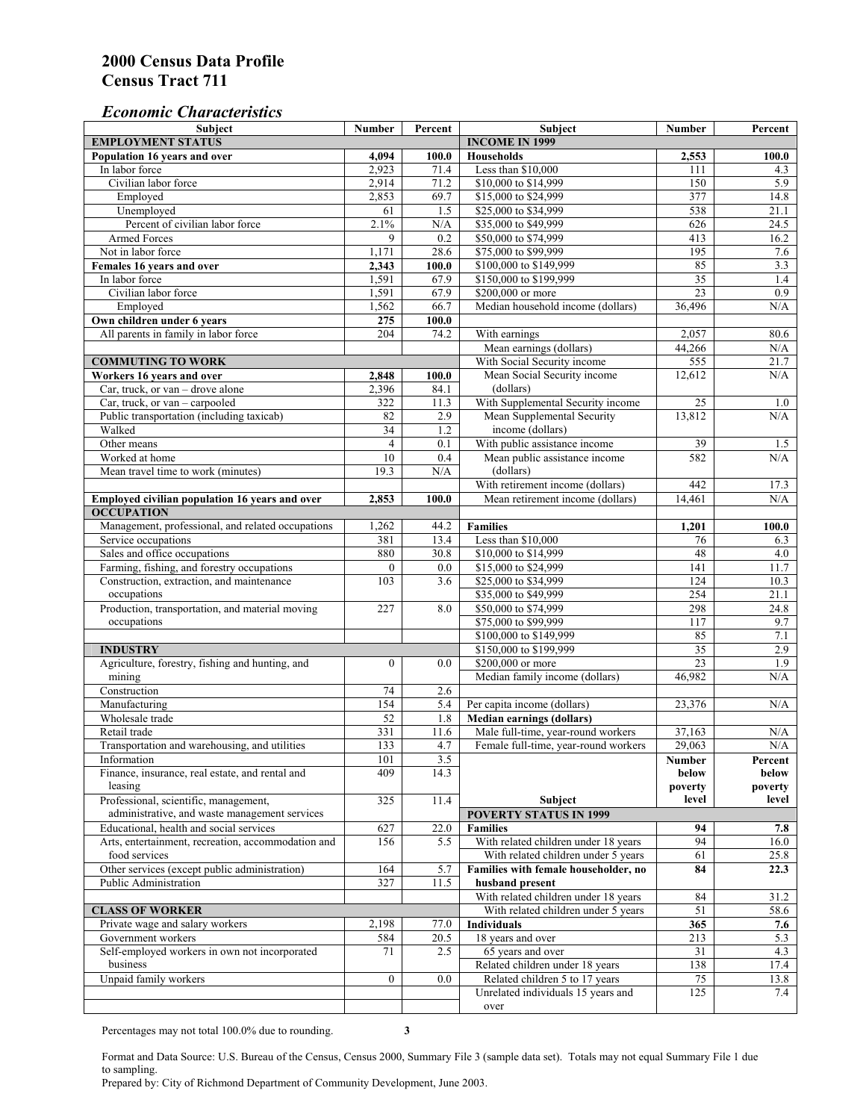## *Economic Characteristics*

| <b>Subject</b>                                     | Number           | Percent | Subject                                    | Number  | Percent    |
|----------------------------------------------------|------------------|---------|--------------------------------------------|---------|------------|
| <b>EMPLOYMENT STATUS</b>                           |                  |         | <b>INCOME IN 1999</b>                      |         |            |
| Population 16 years and over                       | 4,094            | 100.0   | Households                                 | 2,553   | 100.0      |
| In labor force                                     | 2,923            | 71.4    | Less than \$10,000                         | 111     | 4.3        |
| Civilian labor force                               | 2,914            | 71.2    | \$10,000 to \$14,999                       | 150     | 5.9        |
| Employed                                           | 2,853            | 69.7    | \$15,000 to \$24,999                       | 377     | 14.8       |
| Unemployed                                         | 61               | 1.5     | \$25,000 to \$34,999                       | 538     | 21.1       |
| Percent of civilian labor force                    | 2.1%             | N/A     | \$35,000 to \$49,999                       | 626     | 24.5       |
| Armed Forces                                       | 9                | 0.2     | \$50,000 to \$74,999                       | 413     | 16.2       |
| Not in labor force                                 | 1,171            | 28.6    | \$75,000 to \$99,999                       | 195     | 7.6        |
| Females 16 years and over                          | 2,343            | 100.0   | \$100,000 to \$149,999                     | 85      | 3.3        |
| In labor force                                     | 1,591            | 67.9    | \$150,000 to \$199,999                     | 35      | 1.4        |
| Civilian labor force                               | 1,591            | 67.9    | \$200,000 or more                          | 23      | 0.9        |
| Employed                                           | 1,562            | 66.7    | Median household income (dollars)          | 36,496  | N/A        |
| Own children under 6 years                         | 275              | 100.0   |                                            |         |            |
| All parents in family in labor force               | 204              | 74.2    | With earnings                              | 2,057   | 80.6       |
|                                                    |                  |         | Mean earnings (dollars)                    | 44,266  | N/A        |
| <b>COMMUTING TO WORK</b>                           |                  |         | With Social Security income                | 555     | 21.7       |
| Workers 16 years and over                          | 2,848            | 100.0   | Mean Social Security income                | 12,612  | N/A        |
| Car, truck, or van – drove alone                   | 2,396            | 84.1    | (dollars)                                  |         |            |
| Car, truck, or van - carpooled                     | 322              | 11.3    | With Supplemental Security income          | 25      | 1.0        |
| Public transportation (including taxicab)          | 82               | 2.9     | Mean Supplemental Security                 | 13,812  | N/A        |
| Walked                                             | $\overline{34}$  | 1.2     | income (dollars)                           |         |            |
| Other means                                        | $\overline{4}$   | 0.1     | With public assistance income              | 39      |            |
| Worked at home                                     | 10               | 0.4     |                                            | 582     | 1.5<br>N/A |
|                                                    |                  |         | Mean public assistance income<br>(dollars) |         |            |
| Mean travel time to work (minutes)                 | 19.3             | N/A     |                                            |         |            |
|                                                    |                  |         | With retirement income (dollars)           | 442     | 17.3       |
| Employed civilian population 16 years and over     | 2,853            | 100.0   | Mean retirement income (dollars)           | 14,461  | N/A        |
| <b>OCCUPATION</b>                                  |                  |         |                                            |         |            |
| Management, professional, and related occupations  | 1,262            | 44.2    | <b>Families</b>                            | 1,201   | 100.0      |
| Service occupations                                | 381              | 13.4    | Less than \$10,000                         | 76      | 6.3        |
| Sales and office occupations                       | 880              | 30.8    | \$10,000 to \$14,999                       | 48      | 4.0        |
| Farming, fishing, and forestry occupations         | $\mathbf{0}$     | 0.0     | \$15,000 to \$24,999                       | 141     | 11.7       |
| Construction, extraction, and maintenance          | 103              | 3.6     | \$25,000 to \$34,999                       | 124     | 10.3       |
| occupations                                        |                  |         | \$35,000 to \$49,999                       | 254     | 21.1       |
| Production, transportation, and material moving    | 227              | 8.0     | \$50,000 to \$74,999                       | 298     | 24.8       |
| occupations                                        |                  |         | \$75,000 to \$99,999                       | 117     | 9.7        |
|                                                    |                  |         | \$100,000 to \$149,999                     | 85      | 7.1        |
| <b>INDUSTRY</b>                                    |                  |         | \$150,000 to \$199,999                     | 35      | 2.9        |
| Agriculture, forestry, fishing and hunting, and    | $\boldsymbol{0}$ | 0.0     | \$200,000 or more                          | 23      | 1.9        |
| mining                                             |                  |         | Median family income (dollars)             | 46,982  | N/A        |
| Construction                                       | 74               | 2.6     |                                            |         |            |
| Manufacturing                                      | 154              | 5.4     | Per capita income (dollars)                | 23,376  | N/A        |
| Wholesale trade                                    | 52               | 1.8     | <b>Median earnings (dollars)</b>           |         |            |
| Retail trade                                       | 331              | 11.6    | Male full-time, year-round workers         | 37,163  | N/A        |
| Transportation and warehousing, and utilities      | 133              | 4.7     | Female full-time, year-round workers       | 29,063  | N/A        |
| Information                                        | 101              | 3.5     |                                            | Number  | Percent    |
| Finance, insurance, real estate, and rental and    | 409              | 14.3    |                                            | below   | below      |
| leasing                                            |                  |         |                                            | poverty | poverty    |
| Professional, scientific, management,              | 325              | 11.4    | Subject                                    | level   | level      |
| administrative, and waste management services      |                  |         | <b>POVERTY STATUS IN 1999</b>              |         |            |
| Educational, health and social services            | 627              | 22.0    | <b>Families</b>                            | 94      | 7.8        |
| Arts, entertainment, recreation, accommodation and | 156              | 5.5     | With related children under 18 years       | 94      | 16.0       |
| food services                                      |                  |         | With related children under 5 years        | 61      | 25.8       |
| Other services (except public administration)      | 164              | 5.7     | Families with female householder, no       | 84      | 22.3       |
| Public Administration                              | 327              | 11.5    | husband present                            |         |            |
|                                                    |                  |         | With related children under 18 years       | 84      | 31.2       |
| <b>CLASS OF WORKER</b>                             |                  |         | With related children under 5 years        | 51      | 58.6       |
| Private wage and salary workers                    | 2,198            | 77.0    | Individuals                                | 365     | 7.6        |
| Government workers                                 | 584              | 20.5    | 18 years and over                          | 213     | 5.3        |
| Self-employed workers in own not incorporated      | 71               | 2.5     | 65 years and over                          | 31      | 4.3        |
| business                                           |                  |         | Related children under 18 years            | 138     | 17.4       |
| Unpaid family workers                              | $\mathbf{0}$     | 0.0     | Related children 5 to 17 years             | 75      | 13.8       |
|                                                    |                  |         | Unrelated individuals 15 years and         | 125     | 7.4        |
|                                                    |                  |         | over                                       |         |            |
|                                                    |                  |         |                                            |         |            |

Percentages may not total 100.0% due to rounding. **3** 

Format and Data Source: U.S. Bureau of the Census, Census 2000, Summary File 3 (sample data set). Totals may not equal Summary File 1 due to sampling.

Prepared by: City of Richmond Department of Community Development, June 2003.